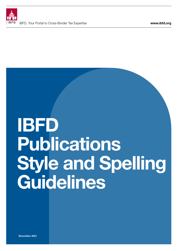

# IBFD Publications Style and Spelling Guidelines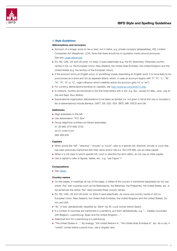

#### 1. Style Guidelines

#### Abbreviations and acronyms

- X Acronym of a foreign word (or tax or law): not in italics, e.g. private company (*aksjeselskap*, AS), Limited Companies Act (*Aksjeloven*, LCA). Note that there should be no quotation marks around acronyms. *See also* [Legal references](#page-5-0).
- ► EU, NZ, UAE, UK and US (note: no dots): if used adjectivally (e.g. the EU directives). Otherwise country names in full, i.e. the European Union, New Zealand, the United Arab Emirates, the United Kingdom and the United States (e.g. the territory of the European Union).
- $\blacktriangleright$  If the acronym forms an English word, or something closely resembling an English word, it is more likely to be pronounced as a word and not as separate letters, which, in case an acronym begins with "F", "H", "L", "M", "N", "R", "S" or "U", might influence which indefinite article the acronym gets ("a" or "an").
- ▶ For currency abbreviations/symbols (in capitals), see <http://www.xe.com/iso4217.php>.
- $\blacktriangleright$  In citations, months are shortened to the first three letters with a dot, e.g. Apr., except for May, June, July (in full) and Sept. (four letters).
- ▶ Supranational organization abbreviations to be taken as familiar (i.e. not given in full at first use or included in list of abbreviations) include Benelux, GATT, G8, G20, G24, IBFD, IMF, OECD and UN.

#### Addresses

- $\blacktriangleright$  Align addresses to the left.
- ▶ Use abbreviation: "P.O. Box".
- $\blacktriangleright$  Group telephone numbers as follows (examples): 31-20-662 3741/662 3742
	- 33-01-4783 0123
	- 689-468 626

#### **Capitals**

- ▶ When words like "bill", "directive", "circular" or "court", refer to a specific bill, directive, circular or court that has been previously mentioned with their name and/or title (i.e. the CITA Bill), use an initial capital.
- $\triangleright$  When it is not clear to which specific bill, court or directive the term refers, do not use an initial capital.
- ▶ Use a capital to refer to figures, tables, etc., e.g. "see Figure 1".

#### Computations

▶ See [Tables](#page-6-0).

#### Country names

- $\triangleright$  On title pages, in headings (at top of the page), in tables (if the country is mentioned separately) do not use article "the" with countries such as the Netherlands, the Bahamas, the Philippines, the United States, etc. In full sentences the article "the" does precede these country names.
- ► EU, NZ, UAE, UK and US (*note:* no dots) if used adjectivally. As nouns use country names in full (i.e. European Union, New Zealand, the United Arab Emirates, the United Kingdom and the United States). Do not use USA.
- St." in lists: alphabetically classified as "Saint" (so St. Lucia comes before Spain).
- $\blacktriangleright$  If a number of countries are mentioned in a sentence, put them alphabetically, e.g. "... treaties concluded with Belgium, Luxembourg, Spain and the United Kingdom ...".
- $\blacktriangleright$  Adjectival form for Luxembourg is Luxembourg.
- ▶ "The United States is...". By analogy, "the United Nations is", "the United Arab Emirates is", etc. As a rule, if "united" comes before a plural noun, use a singular verb.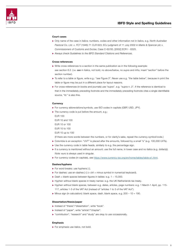

<span id="page-2-0"></span>

#### Court cases

- ▶ Only name of the case in italics; numbers, codes and other information not in italics, e.g. *North Australian Pastoral Co. Ltd. v. FCT* (1946) 71 CLR 623; ECJ judgment of 11 July 2002 in *Marks & Spencer plc v. Commissioners of Customs and Excise*, Case C-62/00, [2002] ECR I - 6325.
- X Always check *Guidelines to the IBFD Standard Citations and References*.

#### Cross-references

- $\triangleright$  Write cross-references to a section in the same publication as in the following example: *see* section 6.2. (i.e. *see* in italics, not bold, no above/below, no *supra* and *infra*, insert "section" before the section number).
- X To refer to a table or figure, write e.g.: "*see* Figure 3". Never use e.g. "the table below", because in print the table or figure may be put in a different place for layout reasons.
- X For cross-references (in books and journals) use "*supra*", e.g. "*supra* n. 2". If the reference is identical to that in the immediately preceding footnote and the immediately preceding footnote cites a single identifiable source, "Id." is also fine.

#### **Currency**

- ▶ For currency abbreviations/symbols, use ISO codes in capitals (GBP, USD, JPY).
- $\blacktriangleright$  The currency code is put before the amount, e.g.:
	- EUR 100

EUR 10 and 100

EUR 10 or 100

EUR 10 to 100

EUR 10 up to 100

(If there are more words between the numbers, or for clarity's sake, repeat the currency symbol/code.)

- ▶ Colombia is an exception: "UVT" is placed after the amounts, followed by a small "s" (e.g. 100,000 UVTs).
- $\blacktriangleright$  Use the currency code in table heads, similarly to e.g. the percentage sign.
- If a currency is mentioned without an amount: use the full name, in lower case and no italics (e.g. dollar(s)). *Note:* euro is always used in singular.
- ▶ For currency codes (in capitals), see <https://www.currency-iso.org/en/home/tables/table-a1.html>.

#### Dashes/hyphens

- $\blacktriangleright$  For word breaks: use hyphens [-].
- $\triangleright$  For dashes: use en-dashes  $[-]$  (= ctrl + minus symbol in numerical keyboard).
- $\triangleright$  Dash + blank spaces between figures in tables: e.g. 1 15,000.
- Hyphen without blank spaces in treaty names: e.g. the UK-Netherlands tax treaty.
- ▶ Hyphen without blank spaces, between e.g. dates, articles, page numbers: e.g. 1 March-1 April, pp. 115-117, articles 1-3 of the VAT Act (instead of "articles 1 to 3 of the VAT Act").
- $\triangleright$  Minus sign (in calculation): blank space, dash, blank space, e.g. 200 10 = 190.

#### Dissertation/thesis/paper

- $\blacktriangleright$  Instead of "thesis"/"dissertation", write "book".
- Instead of "paper", write "article"/"chapter".
- ▶ "contribution", "research" and "study" are okay to use occassionally.

#### Emphasis

 $\blacktriangleright$  For emphasis use italics, not bold.

3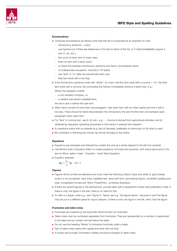<span id="page-3-0"></span>

#### Enumerations

- ▶ Compose enumerations as follows (note that this list is composed as an example of a list):
	- introductory sentence + colon:
	- use hyphens (or if there are references in the text to items of the list, or if clarity/intelligibility require it, use (1), (2), etc.);
	- first word of every item in lower case;
	- finish an item with a semi-colon;
	- no blank line between introductory sentence and items, and between items;
	- no bulleted lists (exception: footnote in TP table);
	- use "and" or "or" after the penultimate item; and
	- final item ends with a full stop.
- If the introductory sentence ends with "either": no colon; the first item ends with a comma + "or"; the final item ends with a comma; the concluding line follows immediately (without a blank line). E.g.: Where the taxpayer is either
	- a non-resident company, or
	- a resident permanent establishment,
- the tax is due in before the year-end.
- $\triangleright$  When items consist of more than one paragraph, start each item with an initial capital and end it with a full stop. There should be blank lines between the introductory line and the first item and between each paragraph within each item.
- ▶ For "lists" in running text, use (i), (ii), etc.; e.g.: ... income (i) derived from agricultural activities; and (ii) obtained by taxpayers operating exclusively in that sector is exempt from taxation.
- $\blacktriangleright$  If a sentence starts with an asterisk (e.g. lists of decrees), preferably no semicolon or full stop is used.
- $\blacktriangleright$  Be consistent in following the chosen list format throughout the article.

#### Equations

- Equations are preceded and followed by a blank line and as a whole aligned to the left (not centred).
- ▶ Use Word's built-in Equation Editor to create equations, formulae and symbols, both stand-alone and in the text (in Word, select: Insert - Equation - Insert New Equation).
- $\blacktriangleright$  Equation example

$$
tp_L^* = \frac{\tau_S}{\tau_L} \cdot (p - c) + c
$$

#### Figures

- Figures will be printed as delivered and must meet the following criteria: black and white or grey shades (colour is not accepted), clear lines, readable text, sans-serif font, symmetrical layout, consistent spelling and style. Acceptable formats are: Word, PowerPoint, .ai (Adobe Illustrator).
- If there are several figures in the article/book, provide each with a sequential number (and preferably a title). If there is only one figure in the text, there is no need for this.
- $\blacktriangleright$  To refer to a figure, write e.g.: see "Figure 3". Never use e.g. "the figure below", because in print the figure may be put in a different place for layout reasons. If there is only one figure in the file, write "*see* the figure".

#### Footnotes and table notes

- $\blacktriangleright$  Footnotes are inserted by the automatic Word function for footnotes.
- $\triangleright$  Table notes must be numbered separately from footnotes. They are represented by a number in superscript in the table and by number dot tab below the table.
- ▶ Do not use the heading "Notes" to introduce footnotes under a table.
- $\blacktriangleright$  Text of table notes starts with capital and ends with full stop.
- In books and journals, footnotes in tables should be changed to table notes.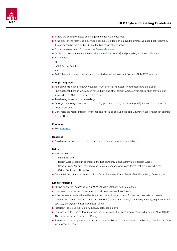

- $\blacktriangleright$  If there are both table notes and a legend, the legend comes first.
- $\blacktriangleright$  If the order of the footnotes is confused because of added or removed footnotes, you need not repair this. The order can be restored by IBFD at the final stage of production.
- ▶ For cross-references in footnotes, see [Cross-references](#page-2-0).
- ► "at" is only used in the short citation after *supra/infra* [note XX] and preceding a pinpoint reference.
- $\blacktriangleright$  For example:
	- Id.

*Supra* n. 1, at sec. 3.1.

*Infra* n. 2.

▶ An ECJ case in a short citation should be cited as follows: *Marks & Spencer* (C-446/03), para. X.

#### Foreign language

- ▶ Foreign words, such as *hjemmehørende*, must be in italics (except in addresses and the List of Abbreviations). Foreign laws also in italics. Latin and other foreign words only in italics when they are not included in the Oxford Dictionary 11th edition.
- $\blacktriangleright$  Avoid using foreign words in headings.
- ▶ Acronym of a foreign word: not in italics. E.g. private company (*aksjeselskap*, AS), Limited Companies Act (*Aksjeloven*, LCA).
- $\triangleright$  Currencies are represented in lower case and not in italics (yuan, dollar(s)), currency abbreviations in capitals (EUR, USD).

#### Formulae

▶ See **[Equations](#page-3-0)**.

#### Headings

 $\blacktriangleright$  Avoid using foreign words, brackets, abbreviations and acronyms in headings.

#### Italics

- $\blacktriangleright$  Italics is used for:
	- emphasis; and
	- foreign words except in addresses, the List of Abbreviations, acronyms of foreign words (*aksjeselskap*, AS) and Latin and other foreign-language words and terms that are included in the Oxford Dictionary 11th edition.
- ▶ Do not italicize database names such as Osiris, Amadeus, Diane, RoyaltyStat, Bloomberg, Dealscan, etc.

#### Legal references

- Always follow the *[Guidelines to the IBFD Standard Citations and References.](file:Guidelines%20to%20the%20IBFD%20Standard%20Citations%20and%20References)*
- X Foreign names of laws in italics, e.g. Limited Companies Act (*Aksjeloven*).
- $\blacktriangleright$  If the name of a law is followed by its acronym as an introduction for further use: brackets, no inverted commas, no "hereinafter", no colon and no italics (in case of an acronym of a foreign name), e.g. Income Tax Law (*Ley del Impuesto a las Ganancias*, LIAG).
- Preferably leave out "No.", e.g. with laws, acts, decree-laws.
- ► Law, act, circular, decree-law: if unspecified, lower case. If followed by a number: initial capital ("Law 9120"). Also initial capital in: "the Law of 27 July".
- The name of the law (or its abbreviation) is preceded by section or article and number, e.g. "section 13 of the Income Tax Act (ITA)".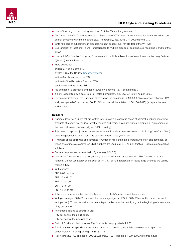<span id="page-5-0"></span>

- ▶ Use "of the", e.g.: "... according to article 15 of the ITA, capital gains are ...".
- ▶ Don't use "of the" in footnotes, etc., e.g. "Secs. 27-29 VATA." even where the citiation is mentioned as part of a full sentence within the footnote (E.g. "Accordingly, sec. 1258 CTA 2009 defines ...").
- ▶ Write numbers of subsections in brackets, without spaces, e.g. "article 1(b) of the VAT Act".
- ▶ Use "articles" or "sections" (plural) for references to multiple articles or sections, e.g. "sections 5 and 6 of the ICTA".
- ▶ Use "article" or "section" (singular) for reference to multiple subsections of an article or section, e.g. "article 5(a) and (b) of the Directive".
- $M$ ore examples: articles 6, 7 and 8 of the ITA articles 6-8 of the ITA (*see* [Dashes/hyphens](#page-2-0)) (article 6(a), (b) and (c) of the ITA) (article 6 of the ITA; article 7 of the ICTA) sections 55 and 56 of the VML
- $\blacktriangleright$  "as amended" is preceded and not followed by a comma, i.e. ", as amended".
- $\blacktriangleright$  If a law is identified by a date: use "of" instead of "dated", e.g. Law 921 of 21 August 2009.
- ▶ For communications of the European Commission the notation is COM(2009) 325 (no space between COM and year, space before number). For EU Official Journal the notation is: OJ L80 (2017) (no space between L and number).

#### Numbers

- ▶ Numbers (cardinal and ordinal) are written in full below 11, except in cases of cardinal numbers describing amounts of money, hours, days, weeks, months and years, which are written in digits (e.g. six members of the board; 3 weeks; the second year, 100th meeting).
- In This does not apply to journals, where we write in full cardinal numbers below 11 (including "zero" and "ten") describing periods of time: thus "one day, two weeks, three years", etc.
- $\triangleright$  A number at the beginning of a sentence is written in full. If there are several numbers in one sentence, of which one or more are above ten, digit numbers are used (e.g. 2, 9 and 15 treaties). Digits are also applied in tables.
- $\triangleright$  Decimal numbers are represented in figures (e.g. 6.5, 0.5).
- $\triangleright$  Use "million" instead of 5 or 6 noughts, e.g. 1.5 million instead of 1,500,000; "billion" instead of 8 or 9 noughts. Do not use abbreviations such as "m", "M" or "b"). Exception: in tables large amounts are usually written in full.
- $\triangleright$  With currency:
	- EUR 0.09 per litre EUR 10 and 100 EUR 10 or 100 EUR 10 to 100 EUR 10 up to 100
- $\blacktriangleright$  If there are more words between the figures, or for clarity's sake, repeat the currency.
- $\triangleright$  With percentages: 50%-60% (repeat the percentage sign) or: 50% to 60%. When written in full: per cent (not: percent). This occurs when the percentage number is written in full, e.g. at the beginning of a sentence: "Fifty per cent of ...".
- $\blacktriangleright$  Percentage treated as singular/plural:

Fifty per cent of the pie is gone.

Fifty per cent of the pies are gone.

- Ratio: 1:3 (without blank spaces). E.g. "the debt-to-equity ratio is 1:1.5".
- $\blacktriangleright$  Fractions (used independently) are written in full, e.g. one third, two thirds. However, use digits if the denominator is 11 or higher, e.g. 15/85, 33 1/3.
- $\triangleright$  (Tax) years: 2021/22 (instead of 2021/2022 or 2021-22) (exception: 1999/2000, write this in full).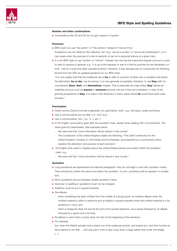#### <span id="page-6-0"></span>Number and letter combinations

▶ Combinations like 3D and 5G do not get a space or hyphen.

#### Pronouns

- ▶ IBFD style is to use "the author" or "the authors" instead of "we/our/I/my". Exceptions may be made for the collective "we" (e.g. "we as a society" or "we as tax practitioners"), or in rare cases when the purpose of a text is explicitly to set out a personal stance on a given topic.
- It is not IBFD style to use "he/she" or "his/her". Instead, the rule that the masculine singular pronoun is used to refer to persons in general, e.g. "it is up to the taxpayer to see to it that he submits his tax declaration on time", has for a long time been standard practice. Recently, it was decided also to incorporate the following lemma from the OED as updated guidance for our IBFD style:

"It is now widely held that the traditional use of he to refer to a person of either sex is outdated and sexist: the alternative, he or she, can be clumsy. It is now generally acceptable, therefore, to use they (with its counterparts them, their, and themselves) instead. This is especially the case where they follows an indefinite pronoun such as **anyone** or **someone** (anyone can join if they are a resident). In view of the growing acceptance of they, it is used in this dictionary in many cases where he would have been used formerly."

#### Punctuation

- ▶ Serial comma (Oxford comma) is generally not used before "and", e.g.: the taxes, duties and levies.
- ▶ Use a comma before but not after "i.e." and "e.g.".
- $\blacktriangleright$  Use a comma before "etc." (i.e. "x, y, etc.").
- $\triangleright$  In UK English, punctuation goes after the quotation mark, except when dealing with a full sentence. The same goes for parentheses. *See* examples below:
	- We were told that "more information will be shared in due course".
	- The Constitution of the United Kingdom states the following: "This draft Constitution for the United Kingdom consists of 129 Articles and 6 schedules, accompanied by a commentary which explains the derivation and purpose of each provision."
- I US English (only used in chapters about the United States) places punctuation within the quotation mark, e.g.:
	- We were told that "more information will be shared in due course."

#### Quotation

- In Long quotations are represented as indented paragraphs; they do not begin or end with quotation marks. There should be a blank line above and below the quotation. In print, quotations will be typeset in a smaller font.
- $\triangleright$  Short quotations are put between double quotation marks.
- $\blacktriangleright$  Grammar or spelling in quotations must not be changed.
- $\blacktriangleright$  Additions must be put in square brackets.
- $\blacktriangleright$  Use ellipsis:
	- when something has been omitted from the middle of a [long] quote: an ordinary ellipsis when the omitted material is within a sentence and an ellipsis in square brackets when the omitted material is a full sentence or more; and
	- when a longquote does not end at the end of the quoted sentence: use a space followed by an ellipsis, followed by a space and a full stop.
- $\triangleright$  No ellipsis is used when a quote does not start at the beginning of the sentence.
- $\blacktriangleright$  For example:

but, when the Rabbit actually took a watch out of its waistcoat-pocket, and looked at it, and then hurried on, Alice started to her feet … and was just in time to see it pop down a large rabbit-hole under the hedge.  $[\ldots]$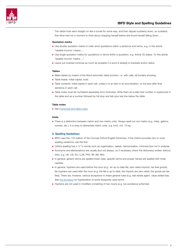

The rabbit-hole went straight on like a tunnel for some way, and then dipped suddenly down, so suddenly that Alice had not a moment to think about stopping herself before she found herself falling down ... .

#### Quotation marks

- $\triangleright$  Use double quotation marks to mark short quotations within a sentence and terms, e.g. in this article "taxable income" means ...
- ▶ Use single quotation marks for quotations or terms within a quotation, e.g. Article 35 states: "In this article 'taxable income' means ...".
- $\blacktriangleright$  Leave out inverted commas as much as possible if a word is already in brackets and/or italics.

#### **Tables**

- $\blacktriangleright$  Make tables by means of the Word automatic table function, i.e. with cells, all borders showing.
- $\blacktriangleright$  Table heads: initial capital, bold.
- $\blacktriangleright$  Table contents: initial capital in each cell, unless it is an item in an enumeration; no full stop after final sentence in each cell.
- $\triangleright$  Table notes must be numbered separately from footnotes. Write them as a plain text number in superscript in the table and as a number followed by full stop and tab plus text line below the table.

#### Table notes

▶ See [Footnotes and table notes.](#page-3-0)

#### Units

▶ There is a distinction between metric and non-metric units. Always spell out non-metric (e.g. miles, gallons, ounces, etc.). It is okay to abbreviate metric units, e.g. km2, m3, 10 kg.

#### 2. Spelling Guidelines

- ▶ IBFD uses the 11th edition of the Concise Oxford English Dictionary. If the Oxford provides two or more spelling variations, use the first.
- ▶ Oxford spelling has a "z" in words such as organization, realize, harmonization, minimize (but not in analyse).
- $\triangleright$  Acronyms and abbreviations are usually (but not always, so if necessary check the dictionary) written without dots, e.g. UK, US, EU, LLM, PhD, Mr, Ms, Mrs.
- $\blacktriangleright$  In general, generic terms are spelled lower case, specific terms and proper names are spelled with initial capitals.
- In general, hyphens are used before the noun (e.g., an up-to-date file; zero-rated imports; tax-free goods). No hyphens are used after the noun (e.g. the file is up to date; the imports are zero rated; the goods are tax free). There are, however, various exceptions to these general rules (e.g. real estate agent, value added tax). See [the list below](#page-8-0) for hyphenation of some frequently used terms.
- $\blacktriangleright$  Hyphens are not used in modifiers consisting of two nouns (e.g. tax avoidance schemes).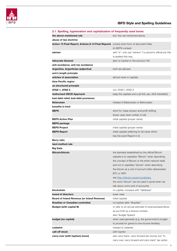<span id="page-8-0"></span>

| 2.1. Spelling, hyphenation and capitalization of frequently used terms                   |                                                               |
|------------------------------------------------------------------------------------------|---------------------------------------------------------------|
| the above-mentioned rule                                                                 | but: the rule mentioned above                                 |
| abuse of law doctrine                                                                    |                                                               |
| Action 13 Final Report, Actions 8-13 Final Reports correct short form of document titles |                                                               |
|                                                                                          | (in BEPS context)                                             |
| adviser                                                                                  | with "e"; only use "advisor" if a person's official job title |
|                                                                                          | is spelled that way                                           |
| <b>Advocate General</b>                                                                  | also no hyphen in the acronym AG                              |
| anti-avoidance, anti-tax avoidance                                                       |                                                               |
| Argentine, Argentinian (adjective)                                                       | both are allowed                                              |
| arm's length principle                                                                   |                                                               |
| articles of association                                                                  | almost never in capitals                                      |
| Asia-Pacific region                                                                      |                                                               |
| as-structured principle                                                                  |                                                               |
| ATAD 1, ATAD 2                                                                           | not: ATAD I, ATAD II                                          |
| <b>Authorised OECD Approach</b>                                                          | keep the capitals and s (at first use, AOA thereafter)        |
| bad-debt relief; bad-debt provisions                                                     |                                                               |
| <b>Belarusian</b>                                                                        | instead of Belarussian or Belorussian                         |
| benefits in kind                                                                         |                                                               |
| <b>BEPS</b>                                                                              | short for: base erosion and profit shifting                   |
|                                                                                          | (lower case when written in full)                             |
| <b>BEPS Action Plan</b>                                                                  | initial capitals (proper name)                                |
| <b>BEPS package</b>                                                                      |                                                               |
| <b>BEPS Project</b>                                                                      | initial capitals (proper name)                                |
| <b>BEPS Report</b>                                                                       | initial capitals (referring to full name which                |
|                                                                                          | has the word Report in it)                                    |
| <b>Berry ratio</b>                                                                       |                                                               |
| best-method rule                                                                         |                                                               |
| <b>Big Data</b>                                                                          |                                                               |
| <b>Bitcoin/bitcoin</b>                                                                   | the standard established by the official Bitcoin              |
|                                                                                          | website is to capitalize "Bitcoin" when describing            |
|                                                                                          | the concept of Bitcoin or the entire network itself,          |
|                                                                                          | and not to capitalize "bitcoin" when describing               |
|                                                                                          | the bitcoin as a unit of account (often abbreviated           |
|                                                                                          | BTC or XBT)                                                   |
|                                                                                          | see http://bitcoin.org/en/vocabulary                          |
|                                                                                          | the word "bitcoin" can be used in plural when we              |
|                                                                                          | talk about coins (unit of accounts)                           |
| blockchain                                                                               | no capital, compare with "database"                           |
| board of directors                                                                       | lower case                                                    |
| Board of Inland Revenue (or Inland Revenue)                                              | initial capitals                                              |
| <b>Brazilian or Canadian-controlled</b>                                                  | no hyphen after "Brazilian"                                   |
| <b>Budget (with capital B)</b>                                                           | to refer to an annual estimate of revenue/expenditure         |
|                                                                                          | as put forth by a finance minister                            |
|                                                                                          | also: Budget Speech                                           |
| budget (no capital)                                                                      | when used generally (e.g. the government's budget             |
|                                                                                          | to provide for grants to low-income families)                 |
| cadastre                                                                                 | instead of cadaster                                           |
| call-off stock                                                                           | with hyphen                                                   |
| carry-over (with hyphen) (noun)                                                          | also carry-back, carry-forward (as nouns); but "to            |
|                                                                                          | carry over, carry forward and carry back" (as verbs)          |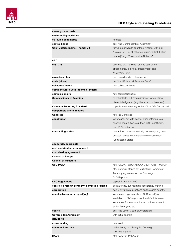

| case-by-case basis                             |                                                       |
|------------------------------------------------|-------------------------------------------------------|
| cash-pooling activities                        |                                                       |
| cc (cubic centimetre)                          | no dots                                               |
| central banks                                  | but: "the Central Bank of Argentina"                  |
| Chief Justice [name], [name] CJ                | for Commonwealth countries, "[name] CJ", e.g.         |
|                                                | "Davies CJ". For all other countries, "Chief Justice  |
|                                                | [name]", e.g. "Chief Justice Roberts"                 |
| c.i.f.                                         |                                                       |
| city, City                                     | use "city of X", unless "City" is part of the         |
|                                                | official name, e.g. "city of Baltimore" and           |
|                                                | "New York City"                                       |
| closed-end fund                                | not: closed-ended; close-ended                        |
| code (of law)                                  | but "the US Internal Revenue Code"                    |
| collectors' items                              | not: collector's items                                |
| commensurate-with-income standard              |                                                       |
| commissionaire                                 | not: commissionnaire                                  |
| <b>Commissioner of Taxation</b>                | as official title, but "commissioner" when official   |
|                                                | title not designated (e.g. the tax commissioners)     |
| <b>Common Reporting Standard</b>               | capitals when referring to the official OECD standard |
| comparable profits method                      |                                                       |
| <b>Congress</b>                                | not: the Congress                                     |
| constitution                                   | lower case, but with capital when referring to a      |
|                                                | specific constitution, e.g. the 1929 Constitution,    |
|                                                | the US Constitution                                   |
| contracting states                             | no capitals, unless absolutely necessary, e.g. in a   |
|                                                | quote; in treaty texts capitals are always used       |
|                                                | (Contracting State)                                   |
| cooperate, coordinate                          |                                                       |
| cost contribution arrangement                  |                                                       |
| cost sharing agreement                         |                                                       |
| <b>Council of Europe</b>                       |                                                       |
| <b>Council of Ministers</b>                    |                                                       |
| CbC MCAA                                       | not: "MCAA – CbC", "MCAA CbC", "Cbc – MCAA",          |
|                                                | etc. (acronym stands for Multilateral Competent       |
|                                                | Authority Agreement on the Exchange of                |
|                                                | CbC Reports)                                          |
| <b>CbC Regulations</b>                         | capital R (name of law)                               |
| controlled foreign company, controlled foreign | both are fine, but maintain consistency within a      |
| corporation                                    | book, or within publications on the same country      |
| country-by-country report(ing)                 | lower case, hyphens; short: CbC report(ing)           |
|                                                | in relation to CbC reporting, the default is to use   |
|                                                | lower case for terms such as constituent/parent       |
|                                                | entity, fiscal year, etc.                             |
| courts                                         | but: "the Lower Court of Amsterdam"                   |
| <b>Covered Tax Agreement</b>                   | with initial capitals                                 |
| <b>COVID-19</b>                                |                                                       |
| crowdfunding                                   | one word                                              |
| customs free zone                              | no hyphens; but distinguish from e.g.                 |
|                                                | "tax-free imports"                                    |
| DAC6                                           | not: "DAC-6" or "DAC 6"                               |
|                                                |                                                       |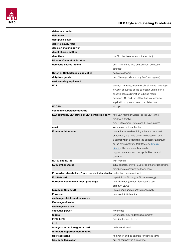

| debenture holder                                                               |                                                            |
|--------------------------------------------------------------------------------|------------------------------------------------------------|
| debt claim                                                                     |                                                            |
| debt push-down                                                                 |                                                            |
| debt-to-equity ratio                                                           |                                                            |
| decision-making power                                                          |                                                            |
| direct charge method                                                           |                                                            |
| directives                                                                     | the EU directives (when not specified)                     |
| <b>Director-General of Taxation</b>                                            |                                                            |
| domestic-source income                                                         | but: "his income was derived from domestic                 |
|                                                                                | sources"                                                   |
| Dutch or Netherlands as adjective                                              | both are allowed                                           |
| duty-free goods                                                                | but: "these goods are duty free" (no hyphen)               |
| earth-moving equipment                                                         |                                                            |
| <b>ECJ</b>                                                                     | acronym remains, even though full name nowadays            |
|                                                                                | is Court of Justice of the European Union. If in a         |
|                                                                                | specific case a distinction is being made                  |
|                                                                                | between ECJ and CJEU that has tax technical                |
|                                                                                |                                                            |
| <b>ECOFIN</b>                                                                  | implications, you can keep the distinction                 |
|                                                                                | all caps                                                   |
| economic substance doctrine                                                    |                                                            |
| <b>EEA countries, EEA states or EEA contracting party</b>                      | not: EEA Member States (as the EEA is the                  |
|                                                                                | result of a treaty)                                        |
|                                                                                | e.g. "EU Member States and EEA countries"                  |
| email                                                                          | lower case, without hyphen                                 |
| Ethereum/ethereum                                                              | no capital when describing ethereum as a unit              |
|                                                                                | of account, e.g. "this costs 2 ethereums", and             |
|                                                                                | a capital when describing the concept "Ethereum"           |
|                                                                                | or the entire network itself (see also Bitcoin/            |
|                                                                                | bitcoin). The same applies to other                        |
|                                                                                | cryptocurrencies, such as ripple, litecoin and             |
|                                                                                | cardano                                                    |
| <b>EU-27 and EU-28</b>                                                         | with hyphen                                                |
| <b>EU Member States</b>                                                        | initial capitals, only for EU; for all other organizations |
|                                                                                | member states/countries lower case                         |
| EU resident shareholder, French resident shareholder no hyphen before resident |                                                            |
| <b>EU State aid</b>                                                            | capital S (for EU only, is EU terminology)                 |
| European economic interest groupings                                           | no initial caps (except "European"); use                   |
|                                                                                | acronym EEIGs                                              |
| <b>European Union, EU</b>                                                      | use as noun and adjective respectively                     |
| <b>Eurozone</b>                                                                | one word, initial capital                                  |
| exchange-of-information clause                                                 |                                                            |
| <b>Exchange of Notes</b>                                                       |                                                            |
| exchange rate risk                                                             |                                                            |
| executive power                                                                | lower case                                                 |
| federal                                                                        | lower case, e.g. "federal government"                      |
| FIFO, LIFO                                                                     | not: fifo, f.i.f.o., F.I.F.O.                              |
| f.o.b.                                                                         |                                                            |
| foreign-source, foreign-sourced                                                | both are allowed                                           |
| formulary apportionment method                                                 |                                                            |
| free trade zone                                                                | no hyphen and no capitals for generic term                 |
| free-zone legislation                                                          | but: "a company in a free zone"                            |
|                                                                                |                                                            |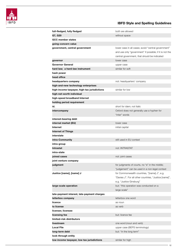$-12$ 

| full-fledged, fully fledged                  | both are allowed                                        |
|----------------------------------------------|---------------------------------------------------------|
| G7, G20                                      | without space                                           |
| <b>GCC member states</b>                     |                                                         |
| going-concern value                          |                                                         |
| government, central government               | lower case in all cases; avoid "central government"     |
|                                              | and use only "government" if possible; if it is not the |
|                                              | central government, that should be indicated            |
| governor                                     | lower case                                              |
| <b>Governor General</b>                      | upper case                                              |
| hard law; a hard-law instrument              | similar for soft                                        |
| hash power                                   |                                                         |
| head office                                  |                                                         |
| headquarters company                         | not: headquarters' company                              |
| high-and-new technology enterprises          |                                                         |
| high-income taxpayer, high-tax jurisdictions | similar for low                                         |
| high-net-worth individual                    |                                                         |
| high-speed broadband Internet                |                                                         |
| holding period requirement                   |                                                         |
| id.                                          | short for idem; not italic                              |
| intercompany                                 | Oxford does not generally use a hyphen for              |
|                                              | "inter" words                                           |
| interest-bearing debt                        |                                                         |
| internal market (EU)                         | lower case                                              |
| Internet                                     | initial capital                                         |
| <b>Internet of Things</b>                    |                                                         |
| interstate                                   |                                                         |
| intra-Community                              | still used in EU context                                |
| intra-group                                  |                                                         |
| <b>Intrastat</b>                             | not: INTRASTAT                                          |
| intra-state                                  |                                                         |
| joined cases                                 | not: joint cases                                        |
| joint venture company                        |                                                         |
| judgment                                     | for judgments of courts, no "e" in the middle;          |
|                                              | "judgement" can be used in a non-legal context          |
| Justice [name], [name] J                     | for Commonwealth countries, "[name] J", e.g.            |
|                                              | "Davies J". For all other countries, "Justice [name]",  |
|                                              | e.g. "Justice Ginsburg"                                 |
| large-scale operation                        | but: "this operation was conducted on a                 |
|                                              | large scale"                                            |
| late-payment interest, late-payment charges  |                                                         |
| letterbox company                            | letterbox one word                                      |
| licence                                      | as noun                                                 |
| to license                                   | as verb                                                 |
| licenser, licensee                           |                                                         |
| licensing fee                                | but: licence fee                                        |
| limited-risk distributors                    |                                                         |
| livestream                                   | one word (noun and verb)                                |
| <b>Local File</b>                            | upper case (BEPS terminology)                           |
| long-term debt                               | but: "in the long term"                                 |
| look-through entity                          |                                                         |
| low-income taxpayer, low-tax jurisdictions   | similar for high                                        |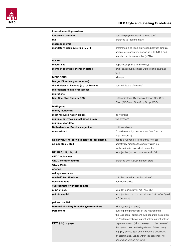

| but: "the payment was in a lump sum"<br>lump-sum payment<br>m2<br>preferred to "square metre"<br>macroeconomic<br>mandatory disclosure rule (MDR)<br>preference is to keep distinction between singular<br>and plural: mandatory disclosure rule (MDR) and<br>mandatory disclosure rules (MDRs)<br>markup<br>Master File<br>upper case (BEPS terminology)<br>lower case; but: Member States (initial capitals)<br>member countries, member states<br>for EU<br><b>MERCOSUR</b><br>all caps<br>Merger Directive (year/number)<br>the Minister of Finance (e.g. of France)<br>but: "ministers of finance"<br>microenterprise; microbusiness<br>microfiche<br>Mini One-Stop Shop (MOSS)<br>EU terminology. By analogy: Import One-Stop<br>Shop (IOSS) and One-Stop Shop (OSS)<br><b>MNE</b> group<br>money laundering<br>most favoured nation clause<br>no hyphens<br>multiple-entry tax-consolidated group<br>two hyphens<br>multiple-year data<br>Netherlands or Dutch as adjective<br>both are allowed<br>non-resident<br>Oxford uses a hyphen for most "non" words<br>(e.g. non-profit)<br>no par value/no-par value (also no-par shares,<br>needs a hyphen if it is clear that "no-par"<br>no-par stock, etc.)<br>adjectivally modifies the noun "value", i.e.<br>hyphenation is dependent on context<br>NZ, UAE, UK, UN, US<br>as adjective (for noun use names in full)<br><b>OECD Guidelines</b><br><b>OECD member country</b><br>preferred over OECD member state<br>OECD Model<br>offence<br>old age insurance<br>but: "he owned a one-third share"<br>one half, two thirds, etc.<br>open-end fund<br>not: open-ended<br>overestimate or underestimate<br>p. XX et seq.<br>singular p. (similar for art., sec. ch.)<br>as adjectives; but the capital was "paid in" or "paid<br>paid-in capital<br>up" (as verbs)<br>paid-up capital<br>Parent-Subsidiary Directive (year/number)<br>with hyphen (not slash)<br>Parliament<br>but: e.g. the parliament of the Netherlands,<br>the European Parliament; see separate instruction<br>on "parliament" below patent holder, patent holding<br>PAYE (UK) or paye<br>pay-as-you-earn (with due regard to the name of<br>the system used in the legislation of the country,<br>e.g. pay-as-you-go); use of hyphens depending<br>on grammatical usage within the sentence; no<br>caps when written out in full | low-value-adding services |  |
|---------------------------------------------------------------------------------------------------------------------------------------------------------------------------------------------------------------------------------------------------------------------------------------------------------------------------------------------------------------------------------------------------------------------------------------------------------------------------------------------------------------------------------------------------------------------------------------------------------------------------------------------------------------------------------------------------------------------------------------------------------------------------------------------------------------------------------------------------------------------------------------------------------------------------------------------------------------------------------------------------------------------------------------------------------------------------------------------------------------------------------------------------------------------------------------------------------------------------------------------------------------------------------------------------------------------------------------------------------------------------------------------------------------------------------------------------------------------------------------------------------------------------------------------------------------------------------------------------------------------------------------------------------------------------------------------------------------------------------------------------------------------------------------------------------------------------------------------------------------------------------------------------------------------------------------------------------------------------------------------------------------------------------------------------------------------------------------------------------------------------------------------------------------------------------------------------------------------------------------------------------------------------------------------------------------------------------------------------------------|---------------------------|--|
|                                                                                                                                                                                                                                                                                                                                                                                                                                                                                                                                                                                                                                                                                                                                                                                                                                                                                                                                                                                                                                                                                                                                                                                                                                                                                                                                                                                                                                                                                                                                                                                                                                                                                                                                                                                                                                                                                                                                                                                                                                                                                                                                                                                                                                                                                                                                                               |                           |  |
|                                                                                                                                                                                                                                                                                                                                                                                                                                                                                                                                                                                                                                                                                                                                                                                                                                                                                                                                                                                                                                                                                                                                                                                                                                                                                                                                                                                                                                                                                                                                                                                                                                                                                                                                                                                                                                                                                                                                                                                                                                                                                                                                                                                                                                                                                                                                                               |                           |  |
|                                                                                                                                                                                                                                                                                                                                                                                                                                                                                                                                                                                                                                                                                                                                                                                                                                                                                                                                                                                                                                                                                                                                                                                                                                                                                                                                                                                                                                                                                                                                                                                                                                                                                                                                                                                                                                                                                                                                                                                                                                                                                                                                                                                                                                                                                                                                                               |                           |  |
|                                                                                                                                                                                                                                                                                                                                                                                                                                                                                                                                                                                                                                                                                                                                                                                                                                                                                                                                                                                                                                                                                                                                                                                                                                                                                                                                                                                                                                                                                                                                                                                                                                                                                                                                                                                                                                                                                                                                                                                                                                                                                                                                                                                                                                                                                                                                                               |                           |  |
|                                                                                                                                                                                                                                                                                                                                                                                                                                                                                                                                                                                                                                                                                                                                                                                                                                                                                                                                                                                                                                                                                                                                                                                                                                                                                                                                                                                                                                                                                                                                                                                                                                                                                                                                                                                                                                                                                                                                                                                                                                                                                                                                                                                                                                                                                                                                                               |                           |  |
|                                                                                                                                                                                                                                                                                                                                                                                                                                                                                                                                                                                                                                                                                                                                                                                                                                                                                                                                                                                                                                                                                                                                                                                                                                                                                                                                                                                                                                                                                                                                                                                                                                                                                                                                                                                                                                                                                                                                                                                                                                                                                                                                                                                                                                                                                                                                                               |                           |  |
|                                                                                                                                                                                                                                                                                                                                                                                                                                                                                                                                                                                                                                                                                                                                                                                                                                                                                                                                                                                                                                                                                                                                                                                                                                                                                                                                                                                                                                                                                                                                                                                                                                                                                                                                                                                                                                                                                                                                                                                                                                                                                                                                                                                                                                                                                                                                                               |                           |  |
|                                                                                                                                                                                                                                                                                                                                                                                                                                                                                                                                                                                                                                                                                                                                                                                                                                                                                                                                                                                                                                                                                                                                                                                                                                                                                                                                                                                                                                                                                                                                                                                                                                                                                                                                                                                                                                                                                                                                                                                                                                                                                                                                                                                                                                                                                                                                                               |                           |  |
|                                                                                                                                                                                                                                                                                                                                                                                                                                                                                                                                                                                                                                                                                                                                                                                                                                                                                                                                                                                                                                                                                                                                                                                                                                                                                                                                                                                                                                                                                                                                                                                                                                                                                                                                                                                                                                                                                                                                                                                                                                                                                                                                                                                                                                                                                                                                                               |                           |  |
|                                                                                                                                                                                                                                                                                                                                                                                                                                                                                                                                                                                                                                                                                                                                                                                                                                                                                                                                                                                                                                                                                                                                                                                                                                                                                                                                                                                                                                                                                                                                                                                                                                                                                                                                                                                                                                                                                                                                                                                                                                                                                                                                                                                                                                                                                                                                                               |                           |  |
|                                                                                                                                                                                                                                                                                                                                                                                                                                                                                                                                                                                                                                                                                                                                                                                                                                                                                                                                                                                                                                                                                                                                                                                                                                                                                                                                                                                                                                                                                                                                                                                                                                                                                                                                                                                                                                                                                                                                                                                                                                                                                                                                                                                                                                                                                                                                                               |                           |  |
|                                                                                                                                                                                                                                                                                                                                                                                                                                                                                                                                                                                                                                                                                                                                                                                                                                                                                                                                                                                                                                                                                                                                                                                                                                                                                                                                                                                                                                                                                                                                                                                                                                                                                                                                                                                                                                                                                                                                                                                                                                                                                                                                                                                                                                                                                                                                                               |                           |  |
|                                                                                                                                                                                                                                                                                                                                                                                                                                                                                                                                                                                                                                                                                                                                                                                                                                                                                                                                                                                                                                                                                                                                                                                                                                                                                                                                                                                                                                                                                                                                                                                                                                                                                                                                                                                                                                                                                                                                                                                                                                                                                                                                                                                                                                                                                                                                                               |                           |  |
|                                                                                                                                                                                                                                                                                                                                                                                                                                                                                                                                                                                                                                                                                                                                                                                                                                                                                                                                                                                                                                                                                                                                                                                                                                                                                                                                                                                                                                                                                                                                                                                                                                                                                                                                                                                                                                                                                                                                                                                                                                                                                                                                                                                                                                                                                                                                                               |                           |  |
|                                                                                                                                                                                                                                                                                                                                                                                                                                                                                                                                                                                                                                                                                                                                                                                                                                                                                                                                                                                                                                                                                                                                                                                                                                                                                                                                                                                                                                                                                                                                                                                                                                                                                                                                                                                                                                                                                                                                                                                                                                                                                                                                                                                                                                                                                                                                                               |                           |  |
|                                                                                                                                                                                                                                                                                                                                                                                                                                                                                                                                                                                                                                                                                                                                                                                                                                                                                                                                                                                                                                                                                                                                                                                                                                                                                                                                                                                                                                                                                                                                                                                                                                                                                                                                                                                                                                                                                                                                                                                                                                                                                                                                                                                                                                                                                                                                                               |                           |  |
|                                                                                                                                                                                                                                                                                                                                                                                                                                                                                                                                                                                                                                                                                                                                                                                                                                                                                                                                                                                                                                                                                                                                                                                                                                                                                                                                                                                                                                                                                                                                                                                                                                                                                                                                                                                                                                                                                                                                                                                                                                                                                                                                                                                                                                                                                                                                                               |                           |  |
|                                                                                                                                                                                                                                                                                                                                                                                                                                                                                                                                                                                                                                                                                                                                                                                                                                                                                                                                                                                                                                                                                                                                                                                                                                                                                                                                                                                                                                                                                                                                                                                                                                                                                                                                                                                                                                                                                                                                                                                                                                                                                                                                                                                                                                                                                                                                                               |                           |  |
|                                                                                                                                                                                                                                                                                                                                                                                                                                                                                                                                                                                                                                                                                                                                                                                                                                                                                                                                                                                                                                                                                                                                                                                                                                                                                                                                                                                                                                                                                                                                                                                                                                                                                                                                                                                                                                                                                                                                                                                                                                                                                                                                                                                                                                                                                                                                                               |                           |  |
|                                                                                                                                                                                                                                                                                                                                                                                                                                                                                                                                                                                                                                                                                                                                                                                                                                                                                                                                                                                                                                                                                                                                                                                                                                                                                                                                                                                                                                                                                                                                                                                                                                                                                                                                                                                                                                                                                                                                                                                                                                                                                                                                                                                                                                                                                                                                                               |                           |  |
|                                                                                                                                                                                                                                                                                                                                                                                                                                                                                                                                                                                                                                                                                                                                                                                                                                                                                                                                                                                                                                                                                                                                                                                                                                                                                                                                                                                                                                                                                                                                                                                                                                                                                                                                                                                                                                                                                                                                                                                                                                                                                                                                                                                                                                                                                                                                                               |                           |  |
|                                                                                                                                                                                                                                                                                                                                                                                                                                                                                                                                                                                                                                                                                                                                                                                                                                                                                                                                                                                                                                                                                                                                                                                                                                                                                                                                                                                                                                                                                                                                                                                                                                                                                                                                                                                                                                                                                                                                                                                                                                                                                                                                                                                                                                                                                                                                                               |                           |  |
|                                                                                                                                                                                                                                                                                                                                                                                                                                                                                                                                                                                                                                                                                                                                                                                                                                                                                                                                                                                                                                                                                                                                                                                                                                                                                                                                                                                                                                                                                                                                                                                                                                                                                                                                                                                                                                                                                                                                                                                                                                                                                                                                                                                                                                                                                                                                                               |                           |  |
|                                                                                                                                                                                                                                                                                                                                                                                                                                                                                                                                                                                                                                                                                                                                                                                                                                                                                                                                                                                                                                                                                                                                                                                                                                                                                                                                                                                                                                                                                                                                                                                                                                                                                                                                                                                                                                                                                                                                                                                                                                                                                                                                                                                                                                                                                                                                                               |                           |  |
|                                                                                                                                                                                                                                                                                                                                                                                                                                                                                                                                                                                                                                                                                                                                                                                                                                                                                                                                                                                                                                                                                                                                                                                                                                                                                                                                                                                                                                                                                                                                                                                                                                                                                                                                                                                                                                                                                                                                                                                                                                                                                                                                                                                                                                                                                                                                                               |                           |  |
|                                                                                                                                                                                                                                                                                                                                                                                                                                                                                                                                                                                                                                                                                                                                                                                                                                                                                                                                                                                                                                                                                                                                                                                                                                                                                                                                                                                                                                                                                                                                                                                                                                                                                                                                                                                                                                                                                                                                                                                                                                                                                                                                                                                                                                                                                                                                                               |                           |  |
|                                                                                                                                                                                                                                                                                                                                                                                                                                                                                                                                                                                                                                                                                                                                                                                                                                                                                                                                                                                                                                                                                                                                                                                                                                                                                                                                                                                                                                                                                                                                                                                                                                                                                                                                                                                                                                                                                                                                                                                                                                                                                                                                                                                                                                                                                                                                                               |                           |  |
|                                                                                                                                                                                                                                                                                                                                                                                                                                                                                                                                                                                                                                                                                                                                                                                                                                                                                                                                                                                                                                                                                                                                                                                                                                                                                                                                                                                                                                                                                                                                                                                                                                                                                                                                                                                                                                                                                                                                                                                                                                                                                                                                                                                                                                                                                                                                                               |                           |  |
|                                                                                                                                                                                                                                                                                                                                                                                                                                                                                                                                                                                                                                                                                                                                                                                                                                                                                                                                                                                                                                                                                                                                                                                                                                                                                                                                                                                                                                                                                                                                                                                                                                                                                                                                                                                                                                                                                                                                                                                                                                                                                                                                                                                                                                                                                                                                                               |                           |  |
|                                                                                                                                                                                                                                                                                                                                                                                                                                                                                                                                                                                                                                                                                                                                                                                                                                                                                                                                                                                                                                                                                                                                                                                                                                                                                                                                                                                                                                                                                                                                                                                                                                                                                                                                                                                                                                                                                                                                                                                                                                                                                                                                                                                                                                                                                                                                                               |                           |  |
|                                                                                                                                                                                                                                                                                                                                                                                                                                                                                                                                                                                                                                                                                                                                                                                                                                                                                                                                                                                                                                                                                                                                                                                                                                                                                                                                                                                                                                                                                                                                                                                                                                                                                                                                                                                                                                                                                                                                                                                                                                                                                                                                                                                                                                                                                                                                                               |                           |  |
|                                                                                                                                                                                                                                                                                                                                                                                                                                                                                                                                                                                                                                                                                                                                                                                                                                                                                                                                                                                                                                                                                                                                                                                                                                                                                                                                                                                                                                                                                                                                                                                                                                                                                                                                                                                                                                                                                                                                                                                                                                                                                                                                                                                                                                                                                                                                                               |                           |  |
|                                                                                                                                                                                                                                                                                                                                                                                                                                                                                                                                                                                                                                                                                                                                                                                                                                                                                                                                                                                                                                                                                                                                                                                                                                                                                                                                                                                                                                                                                                                                                                                                                                                                                                                                                                                                                                                                                                                                                                                                                                                                                                                                                                                                                                                                                                                                                               |                           |  |
|                                                                                                                                                                                                                                                                                                                                                                                                                                                                                                                                                                                                                                                                                                                                                                                                                                                                                                                                                                                                                                                                                                                                                                                                                                                                                                                                                                                                                                                                                                                                                                                                                                                                                                                                                                                                                                                                                                                                                                                                                                                                                                                                                                                                                                                                                                                                                               |                           |  |
|                                                                                                                                                                                                                                                                                                                                                                                                                                                                                                                                                                                                                                                                                                                                                                                                                                                                                                                                                                                                                                                                                                                                                                                                                                                                                                                                                                                                                                                                                                                                                                                                                                                                                                                                                                                                                                                                                                                                                                                                                                                                                                                                                                                                                                                                                                                                                               |                           |  |
|                                                                                                                                                                                                                                                                                                                                                                                                                                                                                                                                                                                                                                                                                                                                                                                                                                                                                                                                                                                                                                                                                                                                                                                                                                                                                                                                                                                                                                                                                                                                                                                                                                                                                                                                                                                                                                                                                                                                                                                                                                                                                                                                                                                                                                                                                                                                                               |                           |  |
|                                                                                                                                                                                                                                                                                                                                                                                                                                                                                                                                                                                                                                                                                                                                                                                                                                                                                                                                                                                                                                                                                                                                                                                                                                                                                                                                                                                                                                                                                                                                                                                                                                                                                                                                                                                                                                                                                                                                                                                                                                                                                                                                                                                                                                                                                                                                                               |                           |  |
|                                                                                                                                                                                                                                                                                                                                                                                                                                                                                                                                                                                                                                                                                                                                                                                                                                                                                                                                                                                                                                                                                                                                                                                                                                                                                                                                                                                                                                                                                                                                                                                                                                                                                                                                                                                                                                                                                                                                                                                                                                                                                                                                                                                                                                                                                                                                                               |                           |  |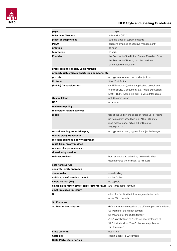

| payer                                             | not: payor                                                     |
|---------------------------------------------------|----------------------------------------------------------------|
| Pillar One, Two, etc.                             | in line with OECD                                              |
| place-of-supply rules                             | but: the place of supply of goods                              |
| <b>PoEM</b>                                       | acronym of "place of effective management"                     |
| practice                                          | as noun                                                        |
| to practise                                       | as verb                                                        |
| President                                         | the President of the United States; President Biden;           |
|                                                   | the President of Russia; but: the president                    |
|                                                   | of the board of directors                                      |
| profit-earning capacity value method              |                                                                |
| property-rich entity, property-rich company, etc. |                                                                |
| pro rata                                          | no hyphen (both as noun and adjective)                         |
| Protocol                                          | "the 2010 Protocol"                                            |
| (Public) Discussion Draft                         | (in BEPS context); where applicable, use full title            |
|                                                   | of official OECD document, e.g. Public Discussion              |
|                                                   | Draft – BEPS Action 8: Hard-To-Value Intangibles               |
| <b>Qeshm Island</b>                               | not: Queshm Island                                             |
| R&D                                               | no spaces                                                      |
| real estate policy                                |                                                                |
| real estate-related services                      |                                                                |
| recall                                            | use of this verb in the sense of "bring up" or "bring          |
|                                                   | up from earlier case law", e.g. "The ECJ firstly               |
|                                                   | recalled that under article 96 of Directive                    |
|                                                   | 2006/112 "                                                     |
| record keeping, record-keeping                    | no hyphen for noun, hyphen for adjectival usage                |
| related-party transaction                         |                                                                |
| relevant-business-activity approach               |                                                                |
| relief-from-royalty method                        |                                                                |
| reverse charge mechanism                          |                                                                |
| ride-sharing service                              |                                                                |
| rollover, rollback                                | both as noun and adjective; two words when                     |
|                                                   | used as verbs (to roll back, to roll over)                     |
| safe harbour rule                                 |                                                                |
| separate-entity approach                          |                                                                |
| shareholder                                       | shareholding                                                   |
| soft law; a soft-law instrument                   | similar for hard                                               |
| single market (EU)                                | no capitals                                                    |
| single-sales factor, single-sales-factor formula  | and: three-factor formula                                      |
| small-business tax return                         |                                                                |
| St.                                               | (short for Saint) with dot; arrange alphabetically             |
|                                                   | under "St" words                                               |
| St. Eustatius                                     |                                                                |
| <b>St. Martin, Sint Maarten</b>                   | different terms are used for the different parts of the island |
|                                                   | St. Martin for the French territory                            |
|                                                   | St. Maarten for the Dutch territory                            |
|                                                   | ("St." alphabetized as "Sint", so after instances of           |
|                                                   | "St." that stand for "Saint", the same applies to              |
|                                                   | "St. Eustatius")                                               |
| state (country)                                   | not: State                                                     |
| State aid                                         | capital S (only in EU context)                                 |
| <b>State Party, State Parties</b>                 |                                                                |
|                                                   |                                                                |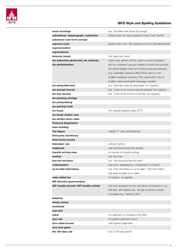

| stock exchange                                                    | but: "the New York Stock Exchange"                         |
|-------------------------------------------------------------------|------------------------------------------------------------|
| subnational, subparagraph, subsection                             | Oxford does not use a hyphen in many "sub" words           |
| substance-over-form concept                                       |                                                            |
| supreme court                                                     | generic term, but: "the Supreme Court of the Netherlands"  |
| superannuation                                                    |                                                            |
| supranational                                                     |                                                            |
| takeover (noun)                                                   | but: take over (verb)                                      |
|                                                                   |                                                            |
| tax authorities (preferred), tax authority,<br>tax administration | lower case; generic terms, used in country chapters;       |
|                                                                   | aim for consistent use per chapter in books and journals   |
|                                                                   | the official English name and acronym are also allowed     |
|                                                                   | (e.g. Australian Taxation Office (ATO); also for non-      |
|                                                                   | English-speaking countries if the organization has an      |
|                                                                   | English name and English-language website)                 |
| tax-deductible item                                               | but: "that item was tax deductible" (no hyphen)            |
| tax-exempt income                                                 | but: "most of his income was tax exempt" (no hyphen)       |
| tax-free income                                                   | but: "most of his income is tax free" (no hyphen)          |
| tax planning strategy                                             |                                                            |
| tax policymaking                                                  |                                                            |
| tax sparing credit                                                |                                                            |
| tax treaty                                                        | not: double taxation treaty (DTT)                          |
| tax treaty-related case                                           |                                                            |
| tax-written-down value                                            |                                                            |
| <b>Technical Explanation</b>                                      |                                                            |
| team-building                                                     |                                                            |
| <b>The Hague</b>                                                  | capital "T", also mid-sentence                             |
| third-party beneficiary                                           |                                                            |
| third-world country                                               |                                                            |
| tiebreaker rule                                                   | without hyphen                                             |
| trademark                                                         | one word (previously two words)                            |
| transfer pricing rules                                            | no hyphen in transfer pricing                              |
| twofold                                                           | not: two-fold                                              |
| two-tier structure                                                | but: "the structure has two tiers"                         |
| undertaxation                                                     | one word, analogous to "overtaxation" in Oxford            |
| up-to-date information                                            | but: "this information is up to date"; "this information   |
|                                                                   | has been brought up to date"                               |
| value added tax                                                   | no hyphen, no capitals                                     |
| VAT Directive (year/number)                                       |                                                            |
| VAT taxable amount; VAT taxable activity                          | this is an exception to the rule (other combinations, e.g. |
|                                                                   | VAT-free, VAT-related, etc., do get a hyphen); rewrite     |
|                                                                   | if possible (e.g. "liable to VAT")                         |
| webshop                                                           |                                                            |
| wholly owned                                                      |                                                            |
| worldwide                                                         |                                                            |
| year-end                                                          |                                                            |
| zakat                                                             | not italicized, is included in the OED                     |
| zero rate                                                         | no hyphen (verb and noun)                                  |
| zero-rated income                                                 | with hyphen (adjective)                                    |
| zero-sum game                                                     |                                                            |
| the 183-days rule                                                 | but: a 183-day period                                      |
|                                                                   |                                                            |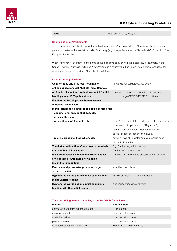

#### 1990s not 1990's, '90's, '90s, etc.

#### Capitalization of "Parliament"

The term "parliament" should be written with a lower case "p" and preceded by "the" when the word is used generally to refer to the legislative body of a country (e.g. "the parliament of the Netherlands"). Exception: "the European Parliament".

When, however, "Parliament" is the name of the legislative body or institution itself (as, for example, in the United Kingdom, Australia, India and New Zealand) in a country that has English as an official language, the word should be capitalized and "the" should be left out).

#### Capitalization guidelines

| Chapter titles and first-level headings of            | for words not capitalized, see below                      |
|-------------------------------------------------------|-----------------------------------------------------------|
| online publications get Multiple Initial Capitals     |                                                           |
| All first level headings are Multiple Initial Capital | use shift F3 for quick conversion, but beware             |
| headings in all IBFD publications                     | not to change OECD, VAT, PE, EU, US, etc.                 |
| For all other headings use Sentence case              |                                                           |
| Words not capitalized:                                |                                                           |
| In mid-sentence no initial caps should be used for:   |                                                           |
| - conjunctions: and, or, that, but, etc.              |                                                           |
| - articles: the, a, an                                |                                                           |
| - prepositions: of, for, in, to, etc.                 | note: "to" as part of the infinitive verb also lower case |
|                                                       | note: -ing participles such as "Regarding",               |
|                                                       | and the noun in compound prepositions such                |
|                                                       | as "in Respect of" get an initial capital                 |
| - relative pronouns: that, which, etc.                | however, "Which" as interrogative pronoun does            |
|                                                       | get an initial capital                                    |
| The first word in a title after a colon or en-dash    | E.g. Capital duty - Introduction                          |
| starts with an initial capital.                       | Capital duty: Introduction                                |
| In all other cases we follow the British English      | "As such, it answers two questions: first, whether"       |
| style of using lower case after a colon               |                                                           |
| (i.e. in the running text)                            |                                                           |
| Personal and possessive pronouns do get               | You, We, Their, Its, etc.                                 |
| an initial capital                                    |                                                           |
| Hyphenated words get two initial capitals in an       | Individual Taxation for Non-Residents                     |
| <b>Initial Capital Heading</b>                        |                                                           |
|                                                       |                                                           |
| Hyphenated words get one initial capital in a         | Non-resident individual taxation                          |

#### Transfer pricing methods (spelling as in the OECD Guidelines)

| Method                               | Abbreviation            |
|--------------------------------------|-------------------------|
| comparable uncontrolled price method | CUP method              |
| resale price method                  | no abbreviation is used |
| cost-plus method                     | no abbreviation is used |
| profit split method                  | no abbreviation is used |
| transactional net margin method      | TNMM (not: TNMM-method) |